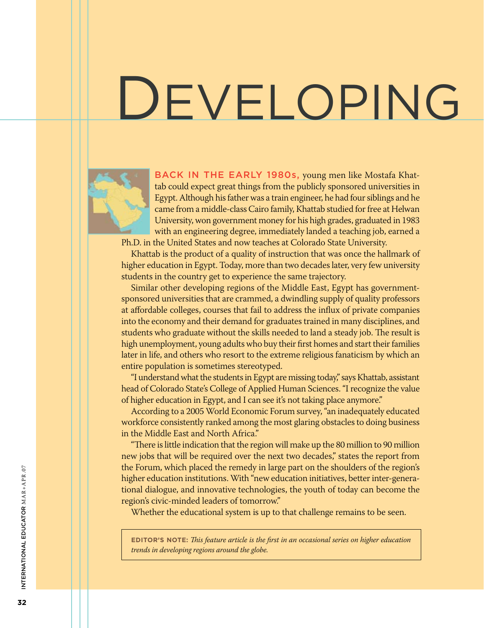# DEVELOPING



BACK IN THE EARLY 1980s, young men like Mostafa Khattab could expect great things from the publicly sponsored universities in Egypt. Although his father was a train engineer, he had four siblings and he came from a middle-class Cairo family, Khattab studied for free at Helwan University, won government money for his high grades, graduated in 1983 with an engineering degree, immediately landed a teaching job, earned a Ph.D. in the United States and now teaches at Colorado State University.

Khattab is the product of a quality of instruction that was once the hallmark of higher education in Egypt. Today, more than two decades later, very few university students in the country get to experience the same trajectory.

Similar other developing regions of the Middle East, Egypt has governmentsponsored universities that are crammed, a dwindling supply of quality professors at affordable colleges, courses that fail to address the influx of private companies into the economy and their demand for graduates trained in many disciplines, and students who graduate without the skills needed to land a steady job. The result is high unemployment, young adults who buy their first homes and start their families later in life, and others who resort to the extreme religious fanaticism by which an entire population is sometimes stereotyped.

"I understand what the students in Egypt are missing today," says Khattab, assistant head of Colorado State's College of Applied Human Sciences. "I recognize the value of higher education in Egypt, and I can see it's not taking place anymore."

According to a 2005 World Economic Forum survey, "an inadequately educated workforce consistently ranked among the most glaring obstacles to doing business in the Middle East and North Africa."

"There is little indication that the region will make up the 80 million to 90 million new jobs that will be required over the next two decades," states the report from the Forum, which placed the remedy in large part on the shoulders of the region's higher education institutions. With "new education initiatives, better inter-generational dialogue, and innovative technologies, the youth of today can become the region's civic-minded leaders of tomorrow."

Whether the educational system is up to that challenge remains to be seen.

**Editor's Note:** *This feature article is the first in an occasional series on higher education trends in developing regions around the globe.*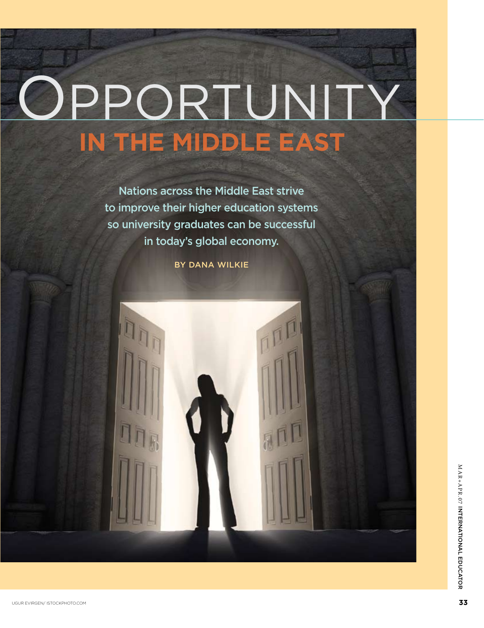# **in the Middle East** PPORTUNI

Nations across the Middle East strive to improve their higher education systems so university graduates can be successful in today's global economy.

By Dana Wilkie



M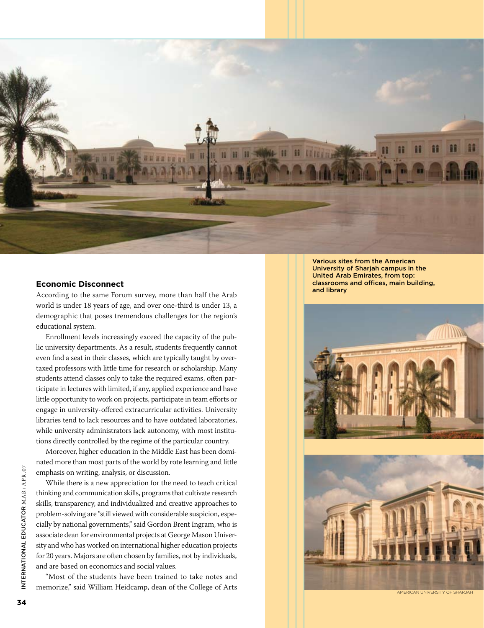

#### **Economic Disconnect**

According to the same Forum survey, more than half the Arab world is under 18 years of age, and over one-third is under 13, a demographic that poses tremendous challenges for the region's educational system.

Enrollment levels increasingly exceed the capacity of the public university departments. As a result, students frequently cannot even find a seat in their classes, which are typically taught by overtaxed professors with little time for research or scholarship. Many students attend classes only to take the required exams, often participate in lectures with limited, if any, applied experience and have little opportunity to work on projects, participate in team efforts or engage in university-offered extracurricular activities. University libraries tend to lack resources and to have outdated laboratories, while university administrators lack autonomy, with most institutions directly controlled by the regime of the particular country.

Moreover, higher education in the Middle East has been dominated more than most parts of the world by rote learning and little emphasis on writing, analysis, or discussion.

While there is a new appreciation for the need to teach critical thinking and communication skills, programs that cultivate research skills, transparency, and individualized and creative approaches to problem-solving are "still viewed with considerable suspicion, especially by national governments," said Gordon Brent Ingram, who is associate dean for environmental projects at George Mason University and who has worked on international higher education projects for 20 years. Majors are often chosen by families, not by individuals, and are based on economics and social values.

"Most of the students have been trained to take notes and memorize," said William Heidcamp, dean of the College of Arts

Various sites from the American University of Sharjah campus in the United Arab Emirates, from top: classrooms and offices, main building, and library

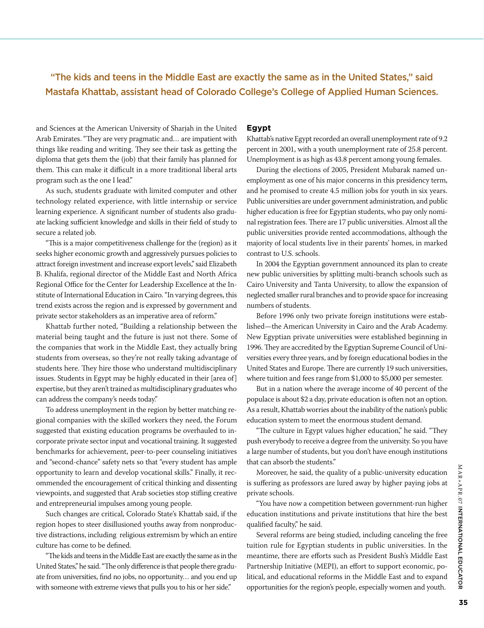### "The kids and teens in the Middle East are exactly the same as in the United States," said Mastafa Khattab, assistant head of Colorado College's College of Applied Human Sciences.

and Sciences at the American University of Sharjah in the United Arab Emirates. "They are very pragmatic and… are impatient with things like reading and writing. They see their task as getting the diploma that gets them the (job) that their family has planned for them. This can make it difficult in a more traditional liberal arts program such as the one I lead."

As such, students graduate with limited computer and other technology related experience, with little internship or service learning experience. A significant number of students also graduate lacking sufficient knowledge and skills in their field of study to secure a related job.

"This is a major competitiveness challenge for the (region) as it seeks higher economic growth and aggressively pursues policies to attract foreign investment and increase export levels," said Elizabeth B. Khalifa, regional director of the Middle East and North Africa Regional Office for the Center for Leadership Excellence at the Institute of International Education in Cairo. "In varying degrees, this trend exists across the region and is expressed by government and private sector stakeholders as an imperative area of reform."

Khattab further noted, "Building a relationship between the material being taught and the future is just not there. Some of the companies that work in the Middle East, they actually bring students from overseas, so they're not really taking advantage of students here. They hire those who understand multidisciplinary issues. Students in Egypt may be highly educated in their [area of] expertise, but they aren't trained as multidisciplinary graduates who can address the company's needs today."

To address unemployment in the region by better matching regional companies with the skilled workers they need, the Forum suggested that existing education programs be overhauled to incorporate private sector input and vocational training. It suggested benchmarks for achievement, peer-to-peer counseling initiatives and "second-chance" safety nets so that "every student has ample opportunity to learn and develop vocational skills." Finally, it recommended the encouragement of critical thinking and dissenting viewpoints, and suggested that Arab societies stop stifling creative and entrepreneurial impulses among young people.

Such changes are critical, Colorado State's Khattab said, if the region hopes to steer disillusioned youths away from nonproductive distractions, including religious extremism by which an entire culture has come to be defined.

"The kids and teens in the Middle East are exactly the same as in the United States," he said. "The only difference is that people there graduate from universities, find no jobs, no opportunity… and you end up with someone with extreme views that pulls you to his or her side."

#### **Egypt**

Khattab's native Egypt recorded an overall unemployment rate of 9.2 percent in 2001, with a youth unemployment rate of 25.8 percent. Unemployment is as high as 43.8 percent among young females.

During the elections of 2005, President Mubarak named unemployment as one of his major concerns in this presidency term, and he promised to create 4.5 million jobs for youth in six years. Public universities are under government administration, and public higher education is free for Egyptian students, who pay only nominal registration fees. There are 17 public universities. Almost all the public universities provide rented accommodations, although the majority of local students live in their parents' homes, in marked contrast to U.S. schools.

In 2004 the Egyptian government announced its plan to create new public universities by splitting multi-branch schools such as Cairo University and Tanta University, to allow the expansion of neglected smaller rural branches and to provide space for increasing numbers of students.

Before 1996 only two private foreign institutions were established—the American University in Cairo and the Arab Academy. New Egyptian private universities were established beginning in 1996. They are accredited by the Egyptian Supreme Council of Universities every three years, and by foreign educational bodies in the United States and Europe. There are currently 19 such universities, where tuition and fees range from \$1,000 to \$5,000 per semester.

But in a nation where the average income of 40 percent of the populace is about \$2 a day, private education is often not an option. As a result, Khattab worries about the inability of the nation's public education system to meet the enormous student demand.

"The culture in Egypt values higher education," he said. "They push everybody to receive a degree from the university. So you have a large number of students, but you don't have enough institutions that can absorb the students."

Moreover, he said, the quality of a public-university education is suffering as professors are lured away by higher paying jobs at private schools.

"You have now a competition between government-run higher education institutions and private institutions that hire the best qualified faculty," he said.

Several reforms are being studied, including canceling the free tuition rule for Egyptian students in public universities. In the meantime, there are efforts such as President Bush's Middle East Partnership Initiative (MEPI), an effort to support economic, political, and educational reforms in the Middle East and to expand opportunities for the region's people, especially women and youth.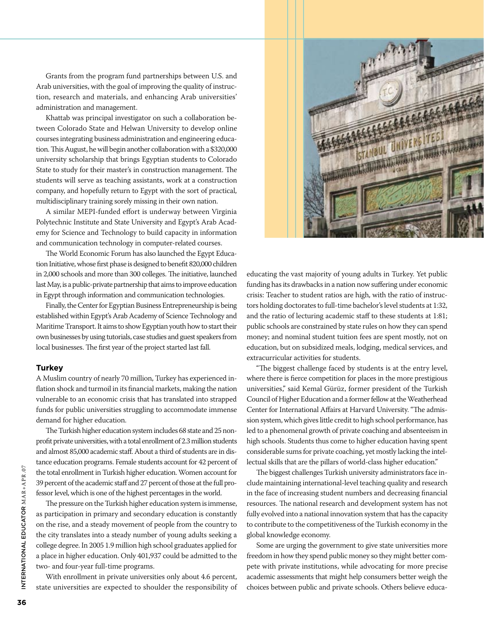Grants from the program fund partnerships between U.S. and Arab universities, with the goal of improving the quality of instruction, research and materials, and enhancing Arab universities' administration and management.

Khattab was principal investigator on such a collaboration between Colorado State and Helwan University to develop online courses integrating business administration and engineering education. This August, he will begin another collaboration with a \$320,000 university scholarship that brings Egyptian students to Colorado State to study for their master's in construction management. The students will serve as teaching assistants, work at a construction company, and hopefully return to Egypt with the sort of practical, multidisciplinary training sorely missing in their own nation.

A similar MEPI-funded effort is underway between Virginia Polytechnic Institute and State University and Egypt's Arab Academy for Science and Technology to build capacity in information and communication technology in computer-related courses.

The World Economic Forum has also launched the Egypt Education Initiative, whose first phase is designed to benefit 820,000 children in 2,000 schools and more than 300 colleges. The initiative, launched last May, is a public-private partnership that aims to improve education in Egypt through information and communication technologies.

Finally, the Center for Egyptian Business Entrepreneurship is being established within Egypt's Arab Academy of Science Technology and Maritime Transport. It aims to show Egyptian youth how to start their own businesses by using tutorials, case studies and guest speakers from local businesses. The first year of the project started last fall.

#### **Turkey**

A Muslim country of nearly 70 million, Turkey has experienced inflation shock and turmoil in its financial markets, making the nation vulnerable to an economic crisis that has translated into strapped funds for public universities struggling to accommodate immense demand for higher education.

The Turkish higher education system includes 68 state and 25 nonprofit private universities, with a total enrollment of 2.3 million students and almost 85,000 academic staff. About a third of students are in distance education programs. Female students account for 42 percent of the total enrollment in Turkish higher education. Women account for 39 percent of the academic staff and 27 percent of those at the full professor level, which is one of the highest percentages in the world.

The pressure on the Turkish higher education system is immense, as participation in primary and secondary education is constantly on the rise, and a steady movement of people from the country to the city translates into a steady number of young adults seeking a college degree. In 2005 1.9 million high school graduates applied for a place in higher education. Only 401,937 could be admitted to the two- and four-year full-time programs.

With enrollment in private universities only about 4.6 percent, state universities are expected to shoulder the responsibility of



educating the vast majority of young adults in Turkey. Yet public funding has its drawbacks in a nation now suffering under economic crisis: Teacher to student ratios are high, with the ratio of instructors holding doctorates to full-time bachelor's level students at 1:32, and the ratio of lecturing academic staff to these students at 1:81; public schools are constrained by state rules on how they can spend money; and nominal student tuition fees are spent mostly, not on education, but on subsidized meals, lodging, medical services, and extracurricular activities for students.

"The biggest challenge faced by students is at the entry level, where there is fierce competition for places in the more prestigious universities," said Kemal Gürüz, former president of the Turkish Council of Higher Education and a former fellow at the Weatherhead Center for International Affairs at Harvard University. "The admission system, which gives little credit to high school performance, has led to a phenomenal growth of private coaching and absenteeism in high schools. Students thus come to higher education having spent considerable sums for private coaching, yet mostly lacking the intellectual skills that are the pillars of world-class higher education."

The biggest challenges Turkish university administrators face include maintaining international-level teaching quality and research in the face of increasing student numbers and decreasing financial resources. The national research and development system has not fully evolved into a national innovation system that has the capacity to contribute to the competitiveness of the Turkish economy in the global knowledge economy.

Some are urging the government to give state universities more freedom in how they spend public money so they might better compete with private institutions, while advocating for more precise academic assessments that might help consumers better weigh the choices between public and private schools. Others believe educa-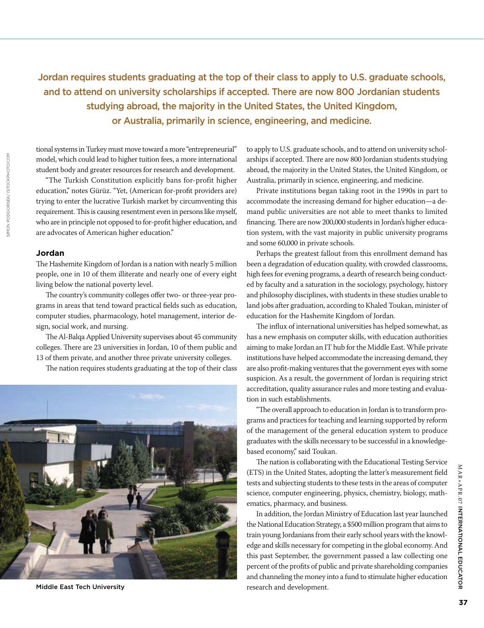# Jordan requires students graduating at the top of their class to apply to U.S. graduate schools, and to attend on university scholarships if accepted. There are now 800 Jordanian students studying abroad, the majority in the United States, the United Kingdom, or Australia, primarily in science, engineering, and medicine.

tional systems in Turkey must move toward a more "entrepreneurial" model, which could lead to higher tuition fees, a more international student body and greater resources for research and development.

"The Turkish Constitution explicitly bans for-profit higher education," notes Gürüz. "Yet, (American for-profit providers are) trying to enter the lucrative Turkish market by circumventing this requirement. This is causing resentment even in persons like myself, who are in principle not opposed to for-profit higher education, and are advocates of American higher education."

#### **Jordan**

The Hashemite Kingdom of Jordan is a nation with nearly 5 million people, one in 10 of them illiterate and nearly one of every eight living below the national poverty level.

The country's community colleges offer two- or three-year programs in areas that tend toward practical fields such as education, computer studies, pharmacology, hotel management, interior design, social work, and nursing.

The Al-Balqa Applied University supervises about 45 community colleges. There are 23 universities in Jordan, 10 of them public and 13 of them private, and another three private university colleges.

The nation requires students graduating at the top of their class



Middle East Tech University

to apply to U.S. graduate schools, and to attend on university scholarships if accepted. There are now 800 Jordanian students studying abroad, the majority in the United States, the United Kingdom, or Australia, primarily in science, engineering, and medicine.

Private institutions began taking root in the 1990s in part to accommodate the increasing demand for higher education—a demand public universities are not able to meet thanks to limited financing. There are now 200,000 students in Jordan's higher education system, with the vast majority in public university programs and some 60,000 in private schools.

Perhaps the greatest fallout from this enrollment demand has been a degradation of education quality, with crowded classrooms, high fees for evening programs, a dearth of research being conducted by faculty and a saturation in the sociology, psychology, history and philosophy disciplines, with students in these studies unable to land jobs after graduation, according to Khaled Toukan, minister of education for the Hashemite Kingdom of Jordan.

The influx of international universities has helped somewhat, as has a new emphasis on computer skills, with education authorities aiming to make Jordan an IT hub for the Middle East. While private institutions have helped accommodate the increasing demand, they are also profit-making ventures that the government eyes with some suspicion. As a result, the government of Jordan is requiring strict accreditation, quality assurance rules and more testing and evaluation in such establishments.

"The overall approach to education in Jordan is to transform programs and practices for teaching and learning supported by reform of the management of the general education system to produce graduates with the skills necessary to be successful in a knowledgebased economy," said Toukan.

The nation is collaborating with the Educational Testing Service (ETS) in the United States, adopting the latter's measurement field tests and subjecting students to these tests in the areas of computer science, computer engineering, physics, chemistry, biology, mathematics, pharmacy, and business.

In addition, the Jordan Ministry of Education last year launched the National Education Strategy, a \$500 million program that aims to train young Jordanians from their early school years with the knowledge and skills necessary for competing in the global economy. And this past September, the government passed a law collecting one percent of the profits of public and private shareholding companies and channeling the money into a fund to stimulate higher education research and development.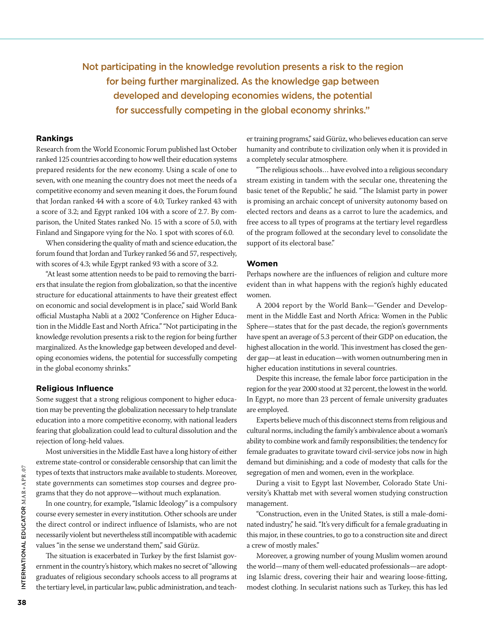# Not participating in the knowledge revolution presents a risk to the region for being further marginalized. As the knowledge gap between developed and developing economies widens, the potential for successfully competing in the global economy shrinks."

#### **Rankings**

Research from the World Economic Forum published last October ranked 125 countries according to how well their education systems prepared residents for the new economy. Using a scale of one to seven, with one meaning the country does not meet the needs of a competitive economy and seven meaning it does, the Forum found that Jordan ranked 44 with a score of 4.0; Turkey ranked 43 with a score of 3.2; and Egypt ranked 104 with a score of 2.7. By comparison, the United States ranked No. 15 with a score of 5.0, with Finland and Singapore vying for the No. 1 spot with scores of 6.0.

When considering the quality of math and science education, the forum found that Jordan and Turkey ranked 56 and 57, respectively, with scores of 4.3; while Egypt ranked 93 with a score of 3.2.

"At least some attention needs to be paid to removing the barriers that insulate the region from globalization, so that the incentive structure for educational attainments to have their greatest effect on economic and social development is in place," said World Bank official Mustapha Nabli at a 2002 "Conference on Higher Education in the Middle East and North Africa." "Not participating in the knowledge revolution presents a risk to the region for being further marginalized. As the knowledge gap between developed and developing economies widens, the potential for successfully competing in the global economy shrinks."

#### **Religious Influence**

Some suggest that a strong religious component to higher education may be preventing the globalization necessary to help translate education into a more competitive economy, with national leaders fearing that globalization could lead to cultural dissolution and the rejection of long-held values.

Most universities in the Middle East have a long history of either extreme state-control or considerable censorship that can limit the types of texts that instructors make available to students. Moreover, state governments can sometimes stop courses and degree programs that they do not approve—without much explanation.

In one country, for example, "Islamic Ideology" is a compulsory course every semester in every institution. Other schools are under the direct control or indirect influence of Islamists, who are not necessarily violent but nevertheless still incompatible with academic values "in the sense we understand them," said Gürüz.

The situation is exacerbated in Turkey by the first Islamist government in the country's history, which makes no secret of "allowing graduates of religious secondary schools access to all programs at the tertiary level, in particular law, public administration, and teacher training programs," said Gürüz, who believes education can serve humanity and contribute to civilization only when it is provided in a completely secular atmosphere.

"The religious schools… have evolved into a religious secondary stream existing in tandem with the secular one, threatening the basic tenet of the Republic," he said. "The Islamist party in power is promising an archaic concept of university autonomy based on elected rectors and deans as a carrot to lure the academics, and free access to all types of programs at the tertiary level regardless of the program followed at the secondary level to consolidate the support of its electoral base."

#### **Women**

Perhaps nowhere are the influences of religion and culture more evident than in what happens with the region's highly educated women.

A 2004 report by the World Bank—"Gender and Development in the Middle East and North Africa: Women in the Public Sphere—states that for the past decade, the region's governments have spent an average of 5.3 percent of their GDP on education, the highest allocation in the world. This investment has closed the gender gap—at least in education—with women outnumbering men in higher education institutions in several countries.

Despite this increase, the female labor force participation in the region for the year 2000 stood at 32 percent, the lowest in the world. In Egypt, no more than 23 percent of female university graduates are employed.

Experts believe much of this disconnect stems from religious and cultural norms, including the family's ambivalence about a woman's ability to combine work and family responsibilities; the tendency for female graduates to gravitate toward civil-service jobs now in high demand but diminishing; and a code of modesty that calls for the segregation of men and women, even in the workplace.

During a visit to Egypt last November, Colorado State University's Khattab met with several women studying construction management.

"Construction, even in the United States, is still a male-dominated industry," he said. "It's very difficult for a female graduating in this major, in these countries, to go to a construction site and direct a crew of mostly males."

Moreover, a growing number of young Muslim women around the world—many of them well-educated professionals—are adopting Islamic dress, covering their hair and wearing loose-fitting, modest clothing. In secularist nations such as Turkey, this has led